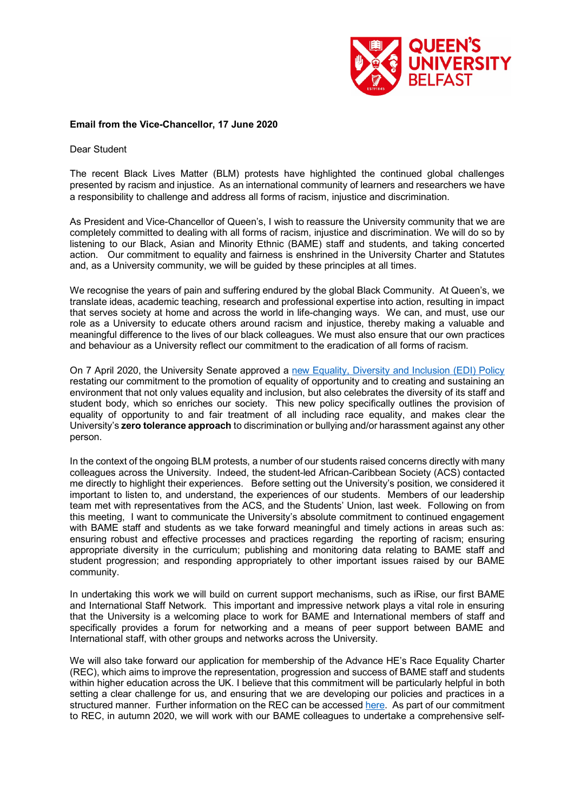

## **Email from the Vice-Chancellor, 17 June 2020**

Dear Student

The recent Black Lives Matter (BLM) protests have highlighted the continued global challenges presented by racism and injustice. As an international community of learners and researchers we have a responsibility to challenge and address all forms of racism, injustice and discrimination.

As President and Vice-Chancellor of Queen's, I wish to reassure the University community that we are completely committed to dealing with all forms of racism, injustice and discrimination. We will do so by listening to our Black, Asian and Minority Ethnic (BAME) staff and students, and taking concerted action. Our commitment to equality and fairness is enshrined in the University Charter and Statutes and, as a University community, we will be guided by these principles at all times.

We recognise the years of pain and suffering endured by the global Black Community. At Queen's, we translate ideas, academic teaching, research and professional expertise into action, resulting in impact that serves society at home and across the world in life-changing ways. We can, and must, use our role as a University to educate others around racism and injustice, thereby making a valuable and meaningful difference to the lives of our black colleagues. We must also ensure that our own practices and behaviour as a University reflect our commitment to the eradication of all forms of racism.

On 7 April 2020, the University Senate approved a new Equality, Diversity and Inclusion (EDI) Policy restating our commitment to the promotion of equality of opportunity and to creating and sustaining an environment that not only values equality and inclusion, but also celebrates the diversity of its staff and student body, which so enriches our society. This new policy specifically outlines the provision of equality of opportunity to and fair treatment of all including race equality, and makes clear the University's **zero tolerance approach** to discrimination or bullying and/or harassment against any other person.

In the context of the ongoing BLM protests, a number of our students raised concerns directly with many colleagues across the University. Indeed, the student-led African-Caribbean Society (ACS) contacted me directly to highlight their experiences. Before setting out the University's position, we considered it important to listen to, and understand, the experiences of our students. Members of our leadership team met with representatives from the ACS, and the Students' Union, last week. Following on from this meeting, I want to communicate the University's absolute commitment to continued engagement with BAME staff and students as we take forward meaningful and timely actions in areas such as: ensuring robust and effective processes and practices regarding the reporting of racism; ensuring appropriate diversity in the curriculum; publishing and monitoring data relating to BAME staff and student progression; and responding appropriately to other important issues raised by our BAME community.

In undertaking this work we will build on current support mechanisms, such as iRise, our first BAME and International Staff Network. This important and impressive network plays a vital role in ensuring that the University is a welcoming place to work for BAME and International members of staff and specifically provides a forum for networking and a means of peer support between BAME and International staff, with other groups and networks across the University.

We will also take forward our application for membership of the Advance HE's Race Equality Charter (REC), which aims to improve the representation, progression and success of BAME staff and students within higher education across the UK. I believe that this commitment will be particularly helpful in both setting a clear challenge for us, and ensuring that we are developing our policies and practices in a structured manner. Further information on the REC can be accessed here. As part of our commitment to REC, in autumn 2020, we will work with our BAME colleagues to undertake a comprehensive self-